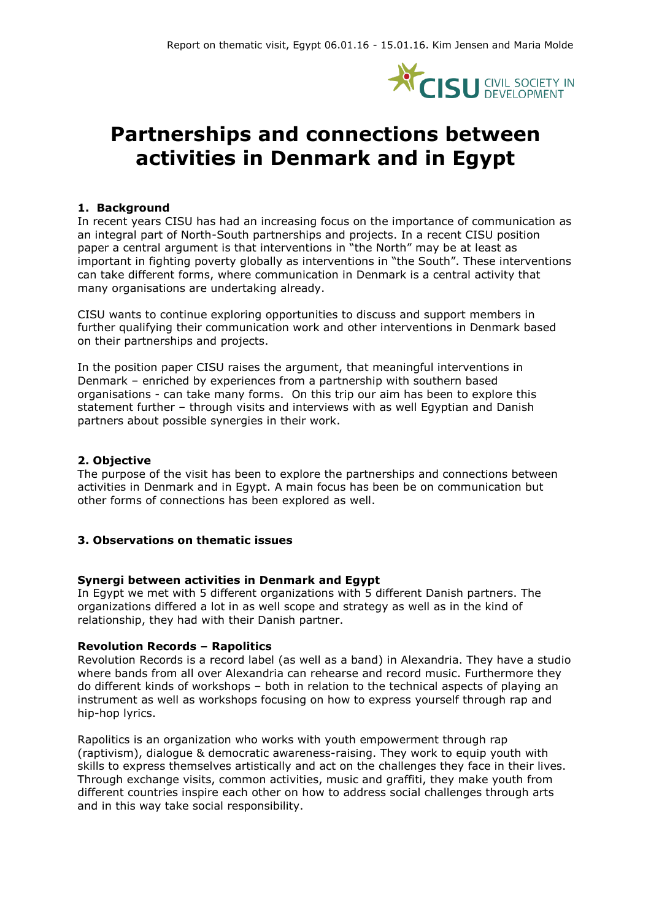

# **Partnerships and connections between activities in Denmark and in Egypt**

#### **1. Background**

In recent years CISU has had an increasing focus on the importance of communication as an integral part of North-South partnerships and projects. In a recent CISU position paper a central argument is that interventions in "the North" may be at least as important in fighting poverty globally as interventions in "the South". These interventions can take different forms, where communication in Denmark is a central activity that many organisations are undertaking already.

CISU wants to continue exploring opportunities to discuss and support members in further qualifying their communication work and other interventions in Denmark based on their partnerships and projects.

In the position paper CISU raises the argument, that meaningful interventions in Denmark – enriched by experiences from a partnership with southern based organisations - can take many forms. On this trip our aim has been to explore this statement further – through visits and interviews with as well Egyptian and Danish partners about possible synergies in their work.

#### **2. Objective**

The purpose of the visit has been to explore the partnerships and connections between activities in Denmark and in Egypt. A main focus has been be on communication but other forms of connections has been explored as well.

#### **3. Observations on thematic issues**

#### **Synergi between activities in Denmark and Egypt**

In Egypt we met with 5 different organizations with 5 different Danish partners. The organizations differed a lot in as well scope and strategy as well as in the kind of relationship, they had with their Danish partner.

#### **Revolution Records – Rapolitics**

Revolution Records is a record label (as well as a band) in Alexandria. They have a studio where bands from all over Alexandria can rehearse and record music. Furthermore they do different kinds of workshops – both in relation to the technical aspects of playing an instrument as well as workshops focusing on how to express yourself through rap and hip-hop lyrics.

Rapolitics is an organization who works with youth empowerment through rap (raptivism), dialogue & democratic awareness-raising. They work to equip youth with skills to express themselves artistically and act on the challenges they face in their lives. Through exchange visits, common activities, music and graffiti, they make youth from different countries inspire each other on how to address social challenges through arts and in this way take social responsibility.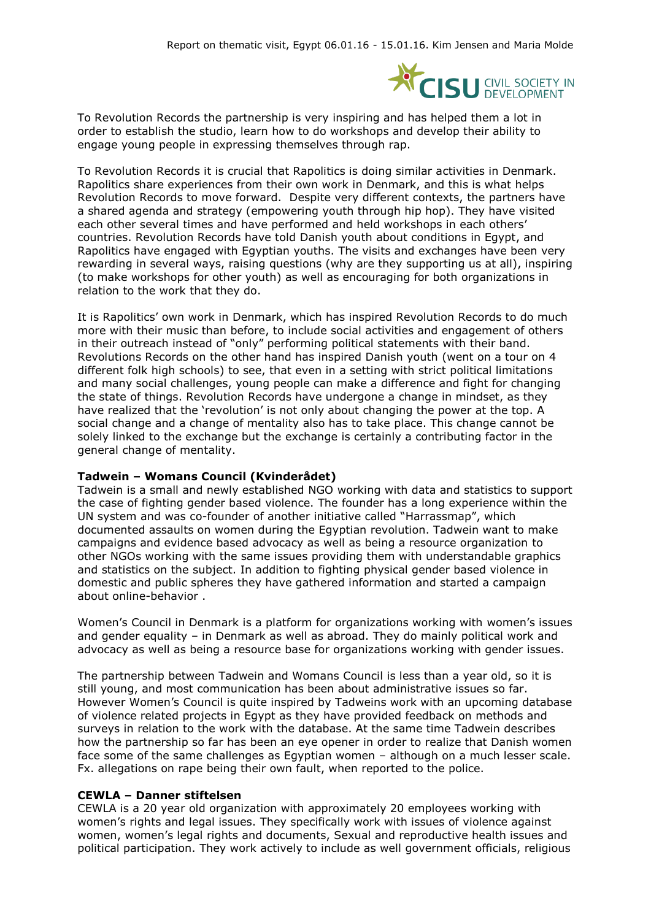

To Revolution Records the partnership is very inspiring and has helped them a lot in order to establish the studio, learn how to do workshops and develop their ability to engage young people in expressing themselves through rap.

To Revolution Records it is crucial that Rapolitics is doing similar activities in Denmark. Rapolitics share experiences from their own work in Denmark, and this is what helps Revolution Records to move forward. Despite very different contexts, the partners have a shared agenda and strategy (empowering youth through hip hop). They have visited each other several times and have performed and held workshops in each others' countries. Revolution Records have told Danish youth about conditions in Egypt, and Rapolitics have engaged with Egyptian youths. The visits and exchanges have been very rewarding in several ways, raising questions (why are they supporting us at all), inspiring (to make workshops for other youth) as well as encouraging for both organizations in relation to the work that they do.

It is Rapolitics' own work in Denmark, which has inspired Revolution Records to do much more with their music than before, to include social activities and engagement of others in their outreach instead of "only" performing political statements with their band. Revolutions Records on the other hand has inspired Danish youth (went on a tour on 4 different folk high schools) to see, that even in a setting with strict political limitations and many social challenges, young people can make a difference and fight for changing the state of things. Revolution Records have undergone a change in mindset, as they have realized that the 'revolution' is not only about changing the power at the top. A social change and a change of mentality also has to take place. This change cannot be solely linked to the exchange but the exchange is certainly a contributing factor in the general change of mentality.

#### **Tadwein – Womans Council (Kvinderådet)**

Tadwein is a small and newly established NGO working with data and statistics to support the case of fighting gender based violence. The founder has a long experience within the UN system and was co-founder of another initiative called "Harrassmap", which documented assaults on women during the Egyptian revolution. Tadwein want to make campaigns and evidence based advocacy as well as being a resource organization to other NGOs working with the same issues providing them with understandable graphics and statistics on the subject. In addition to fighting physical gender based violence in domestic and public spheres they have gathered information and started a campaign about online-behavior .

Women's Council in Denmark is a platform for organizations working with women's issues and gender equality – in Denmark as well as abroad. They do mainly political work and advocacy as well as being a resource base for organizations working with gender issues.

The partnership between Tadwein and Womans Council is less than a year old, so it is still young, and most communication has been about administrative issues so far. However Women's Council is quite inspired by Tadweins work with an upcoming database of violence related projects in Egypt as they have provided feedback on methods and surveys in relation to the work with the database. At the same time Tadwein describes how the partnership so far has been an eye opener in order to realize that Danish women face some of the same challenges as Egyptian women – although on a much lesser scale. Fx. allegations on rape being their own fault, when reported to the police.

#### **CEWLA – Danner stiftelsen**

CEWLA is a 20 year old organization with approximately 20 employees working with women's rights and legal issues. They specifically work with issues of violence against women, women's legal rights and documents, Sexual and reproductive health issues and political participation. They work actively to include as well government officials, religious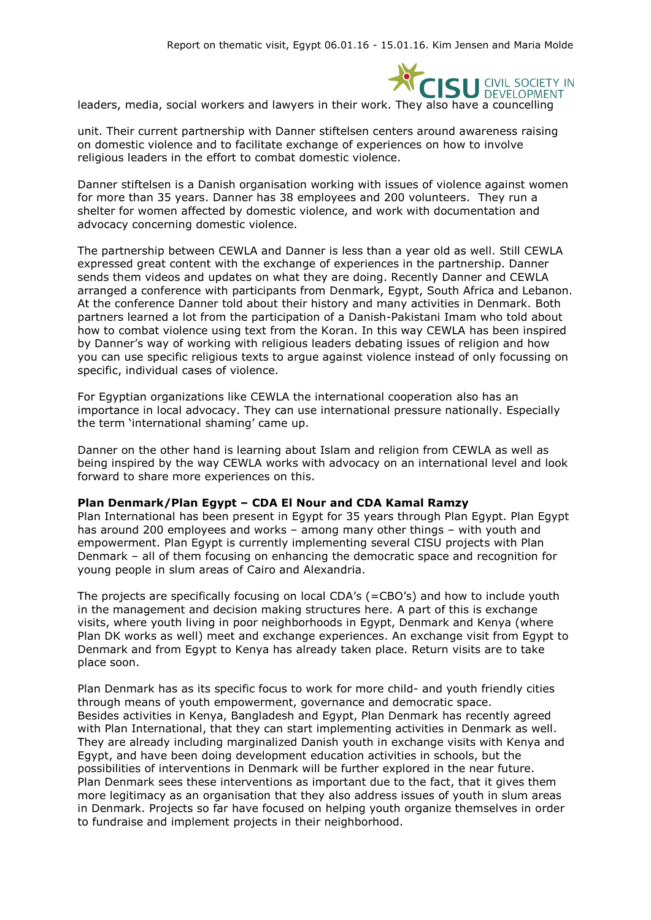

leaders, media, social workers and lawyers in their work. They also have a councelling

unit. Their current partnership with Danner stiftelsen centers around awareness raising on domestic violence and to facilitate exchange of experiences on how to involve religious leaders in the effort to combat domestic violence.

Danner stiftelsen is a Danish organisation working with issues of violence against women for more than 35 years. Danner has 38 employees and 200 volunteers. They run a shelter for women affected by domestic violence, and work with documentation and advocacy concerning domestic violence.

The partnership between CEWLA and Danner is less than a year old as well. Still CEWLA expressed great content with the exchange of experiences in the partnership. Danner sends them videos and updates on what they are doing. Recently Danner and CEWLA arranged a conference with participants from Denmark, Egypt, South Africa and Lebanon. At the conference Danner told about their history and many activities in Denmark. Both partners learned a lot from the participation of a Danish-Pakistani Imam who told about how to combat violence using text from the Koran. In this way CEWLA has been inspired by Danner's way of working with religious leaders debating issues of religion and how you can use specific religious texts to argue against violence instead of only focussing on specific, individual cases of violence.

For Egyptian organizations like CEWLA the international cooperation also has an importance in local advocacy. They can use international pressure nationally. Especially the term 'international shaming' came up.

Danner on the other hand is learning about Islam and religion from CEWLA as well as being inspired by the way CEWLA works with advocacy on an international level and look forward to share more experiences on this.

#### **Plan Denmark/Plan Egypt – CDA El Nour and CDA Kamal Ramzy**

Plan International has been present in Egypt for 35 years through Plan Egypt. Plan Egypt has around 200 employees and works – among many other things – with youth and empowerment. Plan Egypt is currently implementing several CISU projects with Plan Denmark – all of them focusing on enhancing the democratic space and recognition for young people in slum areas of Cairo and Alexandria.

The projects are specifically focusing on local CDA's (=CBO's) and how to include youth in the management and decision making structures here. A part of this is exchange visits, where youth living in poor neighborhoods in Egypt, Denmark and Kenya (where Plan DK works as well) meet and exchange experiences. An exchange visit from Egypt to Denmark and from Egypt to Kenya has already taken place. Return visits are to take place soon.

Plan Denmark has as its specific focus to work for more child- and youth friendly cities through means of youth empowerment, governance and democratic space. Besides activities in Kenya, Bangladesh and Egypt, Plan Denmark has recently agreed with Plan International, that they can start implementing activities in Denmark as well. They are already including marginalized Danish youth in exchange visits with Kenya and Egypt, and have been doing development education activities in schools, but the possibilities of interventions in Denmark will be further explored in the near future. Plan Denmark sees these interventions as important due to the fact, that it gives them more legitimacy as an organisation that they also address issues of youth in slum areas in Denmark. Projects so far have focused on helping youth organize themselves in order to fundraise and implement projects in their neighborhood.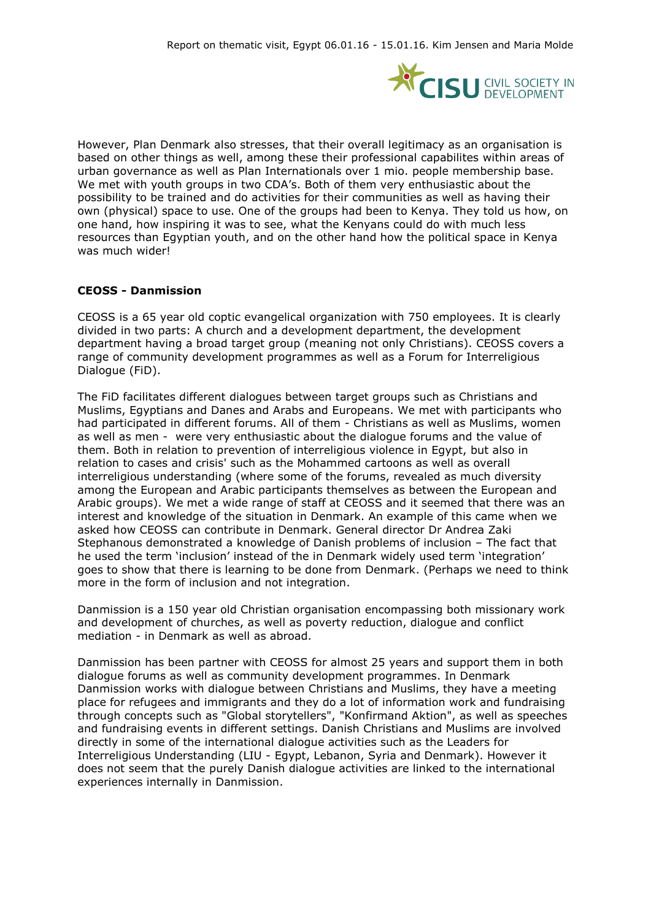

However, Plan Denmark also stresses, that their overall legitimacy as an organisation is based on other things as well, among these their professional capabilites within areas of urban governance as well as Plan Internationals over 1 mio. people membership base. We met with youth groups in two CDA's. Both of them very enthusiastic about the possibility to be trained and do activities for their communities as well as having their own (physical) space to use. One of the groups had been to Kenya. They told us how, on one hand, how inspiring it was to see, what the Kenyans could do with much less resources than Egyptian youth, and on the other hand how the political space in Kenya was much wider!

#### **CEOSS - Danmission**

CEOSS is a 65 year old coptic evangelical organization with 750 employees. It is clearly divided in two parts: A church and a development department, the development department having a broad target group (meaning not only Christians). CEOSS covers a range of community development programmes as well as a Forum for Interreligious Dialogue (FiD).

The FiD facilitates different dialogues between target groups such as Christians and Muslims, Egyptians and Danes and Arabs and Europeans. We met with participants who had participated in different forums. All of them - Christians as well as Muslims, women as well as men - were very enthusiastic about the dialogue forums and the value of them. Both in relation to prevention of interreligious violence in Egypt, but also in relation to cases and crisis' such as the Mohammed cartoons as well as overall interreligious understanding (where some of the forums, revealed as much diversity among the European and Arabic participants themselves as between the European and Arabic groups). We met a wide range of staff at CEOSS and it seemed that there was an interest and knowledge of the situation in Denmark. An example of this came when we asked how CEOSS can contribute in Denmark. General director Dr Andrea Zaki Stephanous demonstrated a knowledge of Danish problems of inclusion – The fact that he used the term 'inclusion' instead of the in Denmark widely used term 'integration' goes to show that there is learning to be done from Denmark. (Perhaps we need to think more in the form of inclusion and not integration.

Danmission is a 150 year old Christian organisation encompassing both missionary work and development of churches, as well as poverty reduction, dialogue and conflict mediation - in Denmark as well as abroad.

Danmission has been partner with CEOSS for almost 25 years and support them in both dialogue forums as well as community development programmes. In Denmark Danmission works with dialogue between Christians and Muslims, they have a meeting place for refugees and immigrants and they do a lot of information work and fundraising through concepts such as "Global storytellers", "Konfirmand Aktion", as well as speeches and fundraising events in different settings. Danish Christians and Muslims are involved directly in some of the international dialogue activities such as the Leaders for Interreligious Understanding (LIU - Egypt, Lebanon, Syria and Denmark). However it does not seem that the purely Danish dialogue activities are linked to the international experiences internally in Danmission.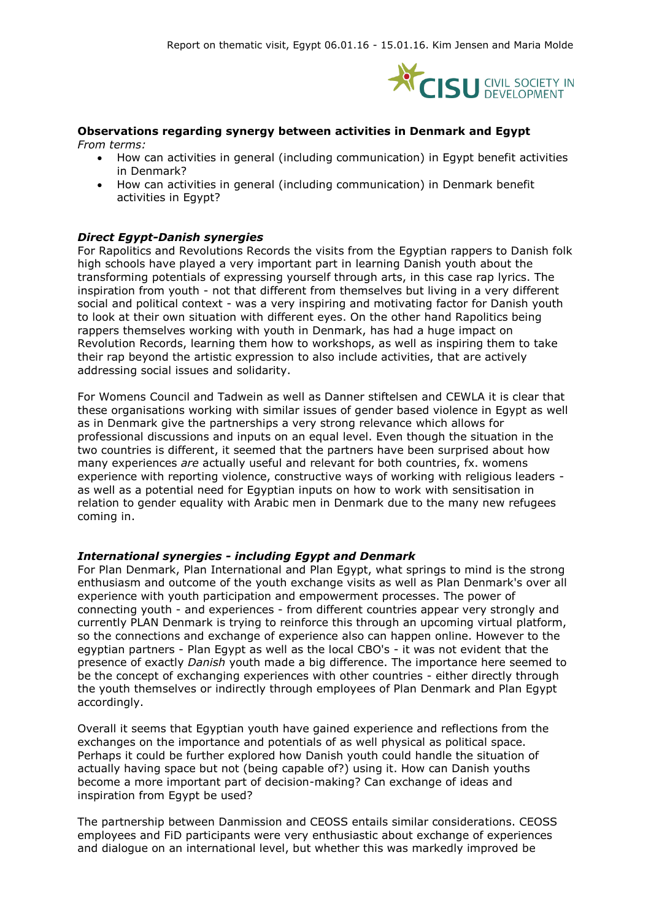

#### **Observations regarding synergy between activities in Denmark and Egypt**

*From terms:*

- How can activities in general (including communication) in Egypt benefit activities in Denmark?
- How can activities in general (including communication) in Denmark benefit activities in Egypt?

#### *Direct Egypt-Danish synergies*

For Rapolitics and Revolutions Records the visits from the Egyptian rappers to Danish folk high schools have played a very important part in learning Danish youth about the transforming potentials of expressing yourself through arts, in this case rap lyrics. The inspiration from youth - not that different from themselves but living in a very different social and political context - was a very inspiring and motivating factor for Danish youth to look at their own situation with different eyes. On the other hand Rapolitics being rappers themselves working with youth in Denmark, has had a huge impact on Revolution Records, learning them how to workshops, as well as inspiring them to take their rap beyond the artistic expression to also include activities, that are actively addressing social issues and solidarity.

For Womens Council and Tadwein as well as Danner stiftelsen and CEWLA it is clear that these organisations working with similar issues of gender based violence in Egypt as well as in Denmark give the partnerships a very strong relevance which allows for professional discussions and inputs on an equal level. Even though the situation in the two countries is different, it seemed that the partners have been surprised about how many experiences *are* actually useful and relevant for both countries, fx. womens experience with reporting violence, constructive ways of working with religious leaders as well as a potential need for Egyptian inputs on how to work with sensitisation in relation to gender equality with Arabic men in Denmark due to the many new refugees coming in.

#### *International synergies - including Egypt and Denmark*

For Plan Denmark, Plan International and Plan Egypt, what springs to mind is the strong enthusiasm and outcome of the youth exchange visits as well as Plan Denmark's over all experience with youth participation and empowerment processes. The power of connecting youth - and experiences - from different countries appear very strongly and currently PLAN Denmark is trying to reinforce this through an upcoming virtual platform, so the connections and exchange of experience also can happen online. However to the egyptian partners - Plan Egypt as well as the local CBO's - it was not evident that the presence of exactly *Danish* youth made a big difference. The importance here seemed to be the concept of exchanging experiences with other countries - either directly through the youth themselves or indirectly through employees of Plan Denmark and Plan Egypt accordingly.

Overall it seems that Egyptian youth have gained experience and reflections from the exchanges on the importance and potentials of as well physical as political space. Perhaps it could be further explored how Danish youth could handle the situation of actually having space but not (being capable of?) using it. How can Danish youths become a more important part of decision-making? Can exchange of ideas and inspiration from Egypt be used?

The partnership between Danmission and CEOSS entails similar considerations. CEOSS employees and FiD participants were very enthusiastic about exchange of experiences and dialogue on an international level, but whether this was markedly improved be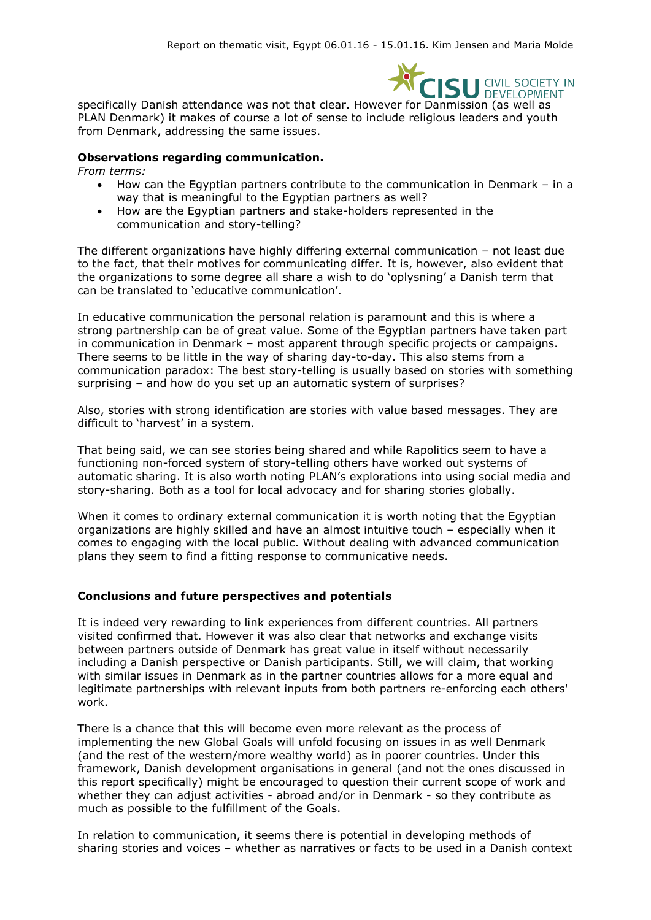

specifically Danish attendance was not that clear. However for Danmission (as well as PLAN Denmark) it makes of course a lot of sense to include religious leaders and youth from Denmark, addressing the same issues.

#### **Observations regarding communication.**

*From terms:*

- How can the Egyptian partners contribute to the communication in Denmark in a way that is meaningful to the Egyptian partners as well?
- How are the Egyptian partners and stake-holders represented in the communication and story-telling?

The different organizations have highly differing external communication – not least due to the fact, that their motives for communicating differ. It is, however, also evident that the organizations to some degree all share a wish to do 'oplysning' a Danish term that can be translated to 'educative communication'.

In educative communication the personal relation is paramount and this is where a strong partnership can be of great value. Some of the Egyptian partners have taken part in communication in Denmark – most apparent through specific projects or campaigns. There seems to be little in the way of sharing day-to-day. This also stems from a communication paradox: The best story-telling is usually based on stories with something surprising – and how do you set up an automatic system of surprises?

Also, stories with strong identification are stories with value based messages. They are difficult to 'harvest' in a system.

That being said, we can see stories being shared and while Rapolitics seem to have a functioning non-forced system of story-telling others have worked out systems of automatic sharing. It is also worth noting PLAN's explorations into using social media and story-sharing. Both as a tool for local advocacy and for sharing stories globally.

When it comes to ordinary external communication it is worth noting that the Egyptian organizations are highly skilled and have an almost intuitive touch – especially when it comes to engaging with the local public. Without dealing with advanced communication plans they seem to find a fitting response to communicative needs.

#### **Conclusions and future perspectives and potentials**

It is indeed very rewarding to link experiences from different countries. All partners visited confirmed that. However it was also clear that networks and exchange visits between partners outside of Denmark has great value in itself without necessarily including a Danish perspective or Danish participants. Still, we will claim, that working with similar issues in Denmark as in the partner countries allows for a more equal and legitimate partnerships with relevant inputs from both partners re-enforcing each others' work.

There is a chance that this will become even more relevant as the process of implementing the new Global Goals will unfold focusing on issues in as well Denmark (and the rest of the western/more wealthy world) as in poorer countries. Under this framework, Danish development organisations in general (and not the ones discussed in this report specifically) might be encouraged to question their current scope of work and whether they can adjust activities - abroad and/or in Denmark - so they contribute as much as possible to the fulfillment of the Goals.

In relation to communication, it seems there is potential in developing methods of sharing stories and voices – whether as narratives or facts to be used in a Danish context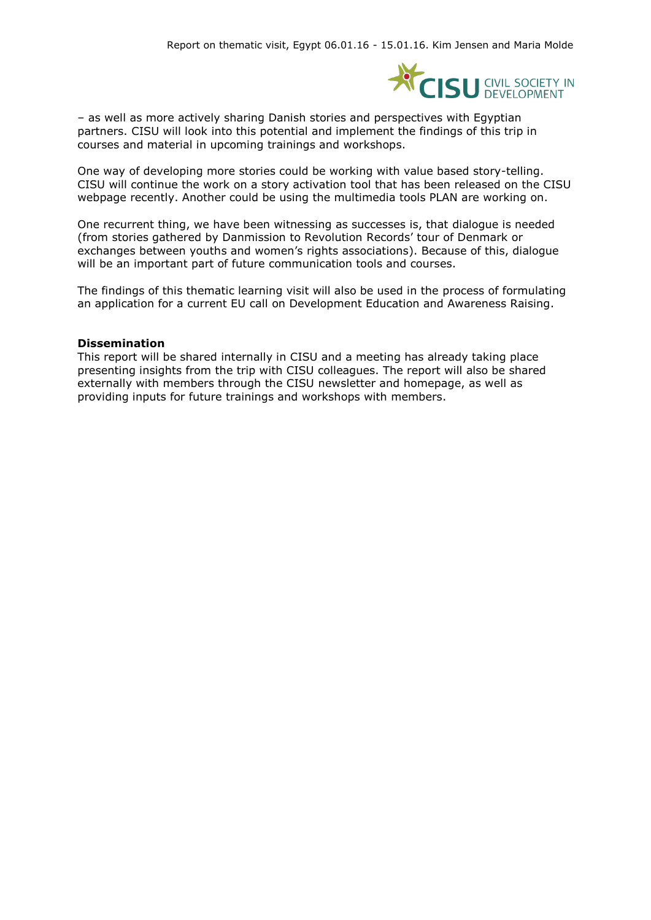

– as well as more actively sharing Danish stories and perspectives with Egyptian partners. CISU will look into this potential and implement the findings of this trip in courses and material in upcoming trainings and workshops.

One way of developing more stories could be working with value based story-telling. CISU will continue the work on a story activation tool that has been released on the CISU webpage recently. Another could be using the multimedia tools PLAN are working on.

One recurrent thing, we have been witnessing as successes is, that dialogue is needed (from stories gathered by Danmission to Revolution Records' tour of Denmark or exchanges between youths and women's rights associations). Because of this, dialogue will be an important part of future communication tools and courses.

The findings of this thematic learning visit will also be used in the process of formulating an application for a current EU call on Development Education and Awareness Raising.

#### **Dissemination**

This report will be shared internally in CISU and a meeting has already taking place presenting insights from the trip with CISU colleagues. The report will also be shared externally with members through the CISU newsletter and homepage, as well as providing inputs for future trainings and workshops with members.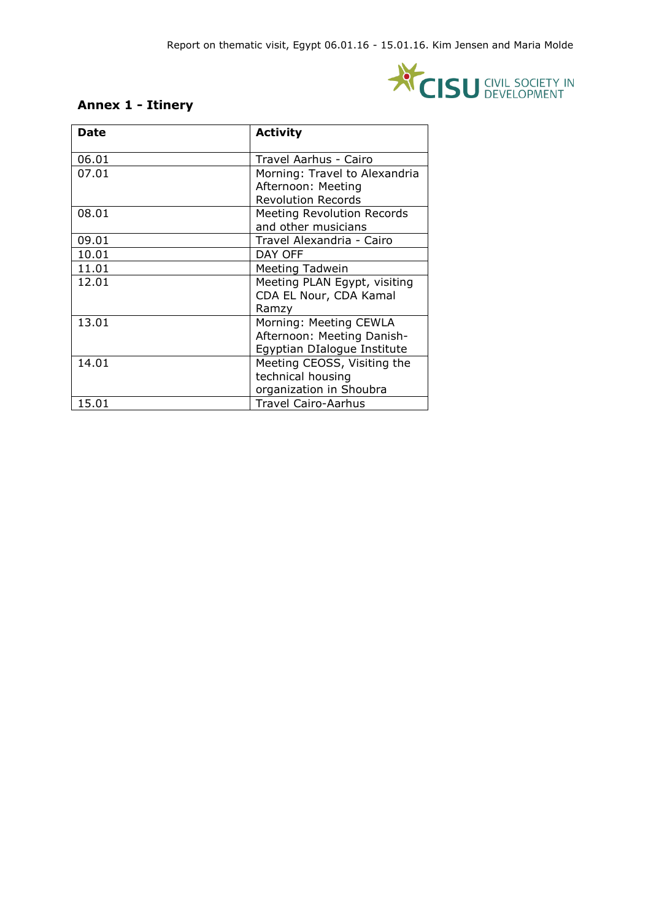

## **Annex 1 - Itinery**

| Date  | <b>Activity</b>               |
|-------|-------------------------------|
| 06.01 | Travel Aarhus - Cairo         |
| 07.01 | Morning: Travel to Alexandria |
|       | Afternoon: Meeting            |
|       | <b>Revolution Records</b>     |
| 08.01 | Meeting Revolution Records    |
|       | and other musicians           |
| 09.01 | Travel Alexandria - Cairo     |
| 10.01 | DAY OFF                       |
| 11.01 | Meeting Tadwein               |
| 12.01 | Meeting PLAN Egypt, visiting  |
|       | CDA EL Nour, CDA Kamal        |
|       | Ramzy                         |
| 13.01 | Morning: Meeting CEWLA        |
|       | Afternoon: Meeting Danish-    |
|       | Egyptian DIalogue Institute   |
| 14.01 | Meeting CEOSS, Visiting the   |
|       | technical housing             |
|       | organization in Shoubra       |
| 15.01 | <b>Travel Cairo-Aarhus</b>    |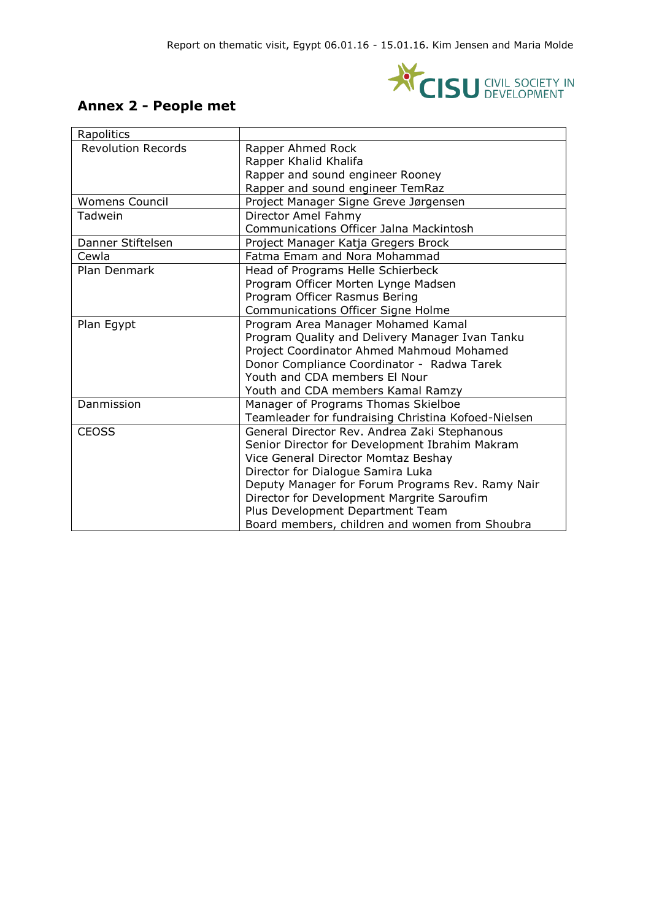

# **Annex 2 - People met**

| Rapolitics                |                                                     |
|---------------------------|-----------------------------------------------------|
| <b>Revolution Records</b> | Rapper Ahmed Rock                                   |
|                           | Rapper Khalid Khalifa                               |
|                           | Rapper and sound engineer Rooney                    |
|                           | Rapper and sound engineer TemRaz                    |
| <b>Womens Council</b>     | Project Manager Signe Greve Jørgensen               |
| Tadwein                   | Director Amel Fahmy                                 |
|                           | Communications Officer Jalna Mackintosh             |
| Danner Stiftelsen         | Project Manager Katja Gregers Brock                 |
| Cewla                     | Fatma Emam and Nora Mohammad                        |
| Plan Denmark              | Head of Programs Helle Schierbeck                   |
|                           | Program Officer Morten Lynge Madsen                 |
|                           | Program Officer Rasmus Bering                       |
|                           | Communications Officer Signe Holme                  |
| Plan Egypt                | Program Area Manager Mohamed Kamal                  |
|                           | Program Quality and Delivery Manager Ivan Tanku     |
|                           | Project Coordinator Ahmed Mahmoud Mohamed           |
|                           | Donor Compliance Coordinator - Radwa Tarek          |
|                           | Youth and CDA members El Nour                       |
|                           | Youth and CDA members Kamal Ramzy                   |
| Danmission                | Manager of Programs Thomas Skielboe                 |
|                           | Teamleader for fundraising Christina Kofoed-Nielsen |
| <b>CEOSS</b>              | General Director Rev. Andrea Zaki Stephanous        |
|                           | Senior Director for Development Ibrahim Makram      |
|                           | Vice General Director Momtaz Beshay                 |
|                           | Director for Dialogue Samira Luka                   |
|                           | Deputy Manager for Forum Programs Rev. Ramy Nair    |
|                           | Director for Development Margrite Saroufim          |
|                           | Plus Development Department Team                    |
|                           | Board members, children and women from Shoubra      |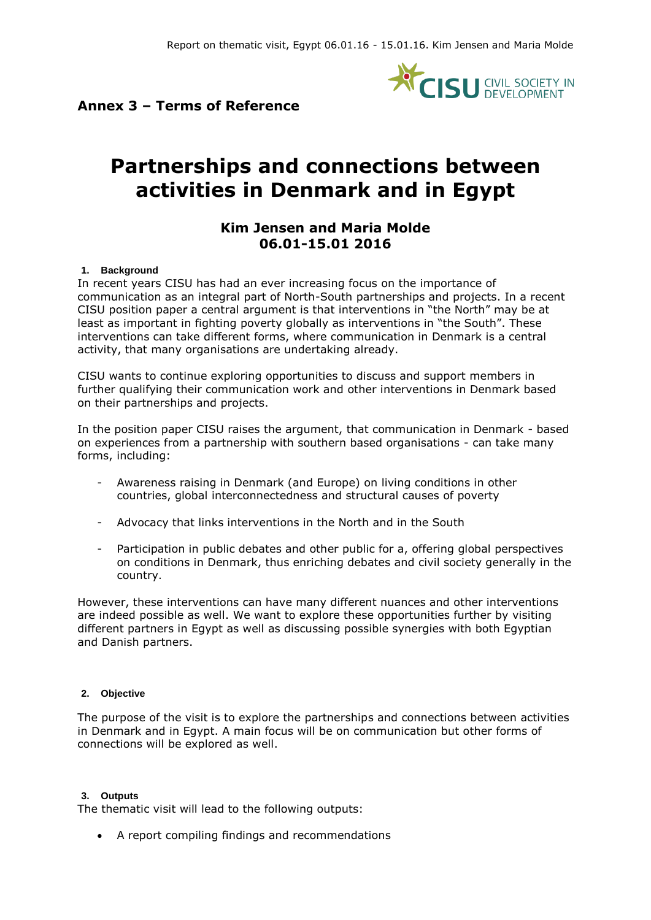

### **Annex 3 – Terms of Reference**

# **Partnerships and connections between activities in Denmark and in Egypt**

### **Kim Jensen and Maria Molde 06.01-15.01 2016**

#### **1. Background**

In recent years CISU has had an ever increasing focus on the importance of communication as an integral part of North-South partnerships and projects. In a recent CISU position paper a central argument is that interventions in "the North" may be at least as important in fighting poverty globally as interventions in "the South". These interventions can take different forms, where communication in Denmark is a central activity, that many organisations are undertaking already.

CISU wants to continue exploring opportunities to discuss and support members in further qualifying their communication work and other interventions in Denmark based on their partnerships and projects.

In the position paper CISU raises the argument, that communication in Denmark - based on experiences from a partnership with southern based organisations - can take many forms, including:

- Awareness raising in Denmark (and Europe) on living conditions in other countries, global interconnectedness and structural causes of poverty
- Advocacy that links interventions in the North and in the South
- Participation in public debates and other public for a, offering global perspectives on conditions in Denmark, thus enriching debates and civil society generally in the country.

However, these interventions can have many different nuances and other interventions are indeed possible as well. We want to explore these opportunities further by visiting different partners in Egypt as well as discussing possible synergies with both Egyptian and Danish partners.

#### **2. Objective**

The purpose of the visit is to explore the partnerships and connections between activities in Denmark and in Egypt. A main focus will be on communication but other forms of connections will be explored as well.

#### **3. Outputs**

The thematic visit will lead to the following outputs:

A report compiling findings and recommendations